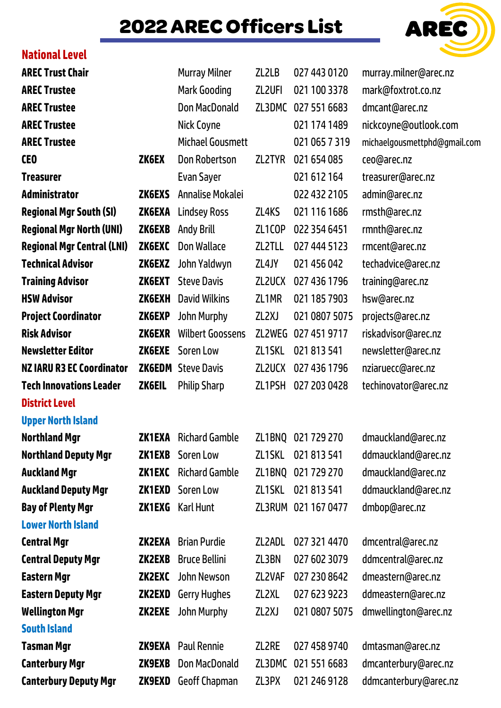### **2022 AREC Officers List** AREC



#### **National Level**

| <b>AREC Trust Chair</b>           |               | <b>Murray Milner</b>    | ZL2LB              | 027 443 0120  | murray.milner@arec.nz        |
|-----------------------------------|---------------|-------------------------|--------------------|---------------|------------------------------|
| <b>AREC Trustee</b>               |               | <b>Mark Gooding</b>     | ZL2UFI             | 021 100 3378  | mark@foxtrot.co.nz           |
| <b>AREC Trustee</b>               |               | Don MacDonald           | ZL3DMC             | 027 551 6683  | dmcant@arec.nz               |
| <b>AREC Trustee</b>               |               | Nick Coyne              |                    | 021 174 1489  | nickcoyne@outlook.com        |
| <b>AREC Trustee</b>               |               | <b>Michael Gousmett</b> |                    | 021 065 7 319 | michaelgousmettphd@gmail.com |
| CE <sub>0</sub>                   | ZK6EX         | Don Robertson           | ZL2TYR             | 021 654 085   | ceo@arec.nz                  |
| <b>Treasurer</b>                  |               | <b>Evan Sayer</b>       |                    | 021 612 164   | treasurer@arec.nz            |
| <b>Administrator</b>              | ZK6EXS        | Annalise Mokalei        |                    | 022 432 2105  | admin@arec.nz                |
| <b>Regional Mgr South (SI)</b>    | ZK6EXA        | <b>Lindsey Ross</b>     | ZL4KS              | 021 116 1686  | rmsth@arec.nz                |
| <b>Regional Mgr North (UNI)</b>   | ZK6EXB        | <b>Andy Brill</b>       | ZL1COP             | 022 354 6451  | rmnth@arec.nz                |
| <b>Regional Mgr Central (LNI)</b> | ZK6EXC        | Don Wallace             | ZL2TLL             | 027 444 5123  | rmcent@arec.nz               |
| <b>Technical Advisor</b>          | ZK6EXZ        | John Yaldwyn            | ZL4JY              | 021 456 042   | techadvice@arec.nz           |
| <b>Training Advisor</b>           | ZK6EXT        | <b>Steve Davis</b>      | <b>ZL2UCX</b>      | 027 436 1796  | training@arec.nz             |
| <b>HSW Advisor</b>                | ZK6EXH        | <b>David Wilkins</b>    | ZL1MR              | 021 185 7903  | hsw@arec.nz                  |
| <b>Project Coordinator</b>        | ZK6EXP        | <b>John Murphy</b>      | ZL2XJ              | 021 0807 5075 | projects@arec.nz             |
| <b>Risk Advisor</b>               | ZK6EXR        | <b>Wilbert Goossens</b> | ZL2WEG             | 027 451 9717  | riskadvisor@arec.nz          |
| <b>Newsletter Editor</b>          | ZK6EXE        | Soren Low               | ZL1SKL             | 021 813 541   | newsletter@arec.nz           |
| <b>NZ IARU R3 EC Coordinator</b>  | ZK6EDM        | <b>Steve Davis</b>      | <b>ZL2UCX</b>      | 027 436 1796  | nziaruecc@arec.nz            |
| <b>Tech Innovations Leader</b>    | ZK6EIL        | <b>Philip Sharp</b>     | ZL1PSH             | 027 203 0428  | techinovator@arec.nz         |
| <b>District Level</b>             |               |                         |                    |               |                              |
| <b>Upper North Island</b>         |               |                         |                    |               |                              |
| <b>Northland Mgr</b>              | ZK1EXA        | <b>Richard Gamble</b>   | ZL1BNQ             | 021 729 270   | dmauckland@arec.nz           |
| <b>Northland Deputy Mgr</b>       | ZK1EXB        | Soren Low               | ZL1SKL             | 021813541     | ddmauckland@arec.nz          |
| <b>Auckland Mgr</b>               | ZK1EXC        | <b>Richard Gamble</b>   | ZL1BNQ             | 021 729 270   | dmauckland@arec.nz           |
| <b>Auckland Deputy Mgr</b>        | ZK1EXD        | <b>Soren Low</b>        | ZL1SKL             | 021 813 541   | ddmauckland@arec.nz          |
| <b>Bay of Plenty Mgr</b>          | ZK1EXG        | <b>Karl Hunt</b>        | ZL3RUM             | 021 167 0477  | dmbop@arec.nz                |
| <b>Lower North Island</b>         |               |                         |                    |               |                              |
| <b>Central Mgr</b>                | <b>ZK2EXA</b> | <b>Brian Purdie</b>     | ZL2ADL             | 027 321 4470  | dmcentral@arec.nz            |
| <b>Central Deputy Mgr</b>         | <b>ZK2EXB</b> | <b>Bruce Bellini</b>    | ZL3BN              | 027 602 3079  | ddmcentral@arec.nz           |
| <b>Eastern Mgr</b>                | ZK2EXC        | <b>John Newson</b>      | ZL2VAF             | 027 230 8642  | dmeastern@arec.nz            |
| <b>Eastern Deputy Mgr</b>         | ZK2EXD        | <b>Gerry Hughes</b>     | <b>ZL2XL</b>       | 027 623 9223  | ddmeastern@arec.nz           |
| <b>Wellington Mgr</b>             | ZK2EXE        | <b>John Murphy</b>      | ZL2XJ              | 021 0807 5075 | dmwellington@arec.nz         |
| <b>South Island</b>               |               |                         |                    |               |                              |
| <b>Tasman Mgr</b>                 | ZK9EXA        | <b>Paul Rennie</b>      | ZL <sub>2</sub> RE | 027 458 9740  | dmtasman@arec.nz             |
| <b>Canterbury Mgr</b>             | ZK9EXB        | Don MacDonald           | ZL3DMC             | 021 551 6683  | dmcanterbury@arec.nz         |
| <b>Canterbury Deputy Mgr</b>      | <b>ZK9EXD</b> | <b>Geoff Chapman</b>    | ZL3PX              | 021 246 9128  | ddmcanterbury@arec.nz        |
|                                   |               |                         |                    |               |                              |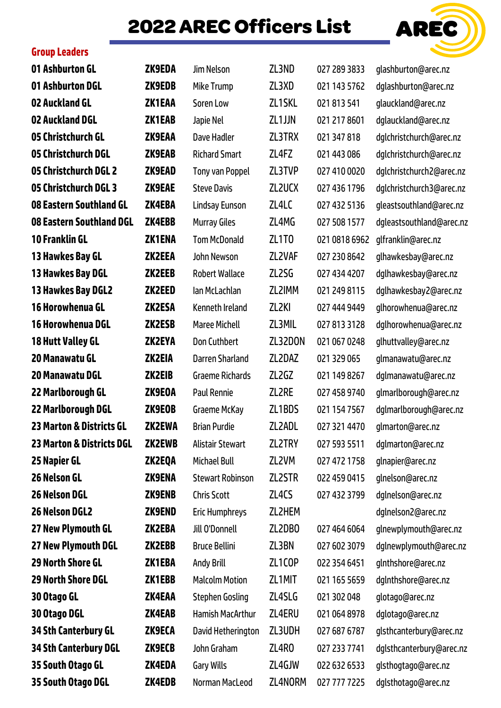# **2022 AREC Officers List** AREC



#### **Group Leaders**

| 01 Ashburton GL                      | <b>ZK9EDA</b> | Jim Nelson              | ZL3ND              | 027 289 3833  | glashburton@arec.nz      |
|--------------------------------------|---------------|-------------------------|--------------------|---------------|--------------------------|
| <b>01 Ashburton DGL</b>              | <b>ZK9EDB</b> | Mike Trump              | ZL3XD              | 021 143 5762  | dglashburton@arec.nz     |
| <b>02 Auckland GL</b>                | <b>ZK1EAA</b> | <b>Soren Low</b>        | ZL1SKL             | 021 813 541   | glauckland@arec.nz       |
| <b>02 Auckland DGL</b>               | ZK1EAB        | Japie Nel               | ZL1JJN             | 021 217 8601  | dglauckland@arec.nz      |
| <b>05 Christchurch GL</b>            | <b>ZK9EAA</b> | Dave Hadler             | ZL3TRX             | 021 347 818   | dglchristchurch@arec.nz  |
| <b>05 Christchurch DGL</b>           | ZK9EAB        | <b>Richard Smart</b>    | ZL4FZ              | 021 443 086   | dglchristchurch@arec.nz  |
| <b>05 Christchurch DGL 2</b>         | <b>ZK9EAD</b> | Tony van Poppel         | ZL3TVP             | 027 410 0020  | dglchristchurch2@arec.nz |
| 05 Christchurch DGL 3                | <b>ZK9EAE</b> | <b>Steve Davis</b>      | <b>ZL2UCX</b>      | 027 436 1796  | dglchristchurch3@arec.nz |
| 08 Eastern Southland GL              | ZK4EBA        | <b>Lindsay Eunson</b>   | ZL4LC              | 027 432 5136  | gleastsouthland@arec.nz  |
| <b>08 Eastern Southland DGL</b>      | ZK4EBB        | <b>Murray Giles</b>     | ZL4MG              | 027 508 1577  | dgleastsouthland@arec.nz |
| <b>10 Franklin GL</b>                | <b>ZK1ENA</b> | <b>Tom McDonald</b>     | <b>ZL1T0</b>       | 021 0818 6962 | glfranklin@arec.nz       |
| 13 Hawkes Bay GL                     | <b>ZK2EEA</b> | <b>John Newson</b>      | ZL2VAF             | 027 230 8642  | glhawkesbay@arec.nz      |
| <b>13 Hawkes Bay DGL</b>             | ZK2EEB        | <b>Robert Wallace</b>   | ZL2SG              | 027 434 4207  | dglhawkesbay@arec.nz     |
| 13 Hawkes Bay DGL2                   | ZK2EED        | Ian McLachlan           | <b>ZL2IMM</b>      | 021 249 8115  | dglhawkesbay2@arec.nz    |
| <b>16 Horowhenua GL</b>              | <b>ZK2ESA</b> | <b>Kenneth Ireland</b>  | ZL <sub>2KI</sub>  | 027 444 9449  | glhorowhenua@arec.nz     |
| <b>16 Horowhenua DGL</b>             | ZK2ESB        | <b>Maree Michell</b>    | ZL3MIL             | 027 813 3128  | dglhorowhenua@arec.nz    |
| <b>18 Hutt Valley GL</b>             | <b>ZK2EYA</b> | <b>Don Cuthbert</b>     | ZL32DON            | 021 067 0248  | glhuttvalley@arec.nz     |
| 20 Manawatu GL                       | <b>ZK2EIA</b> | <b>Darren Sharland</b>  | ZL2DAZ             | 021 329 065   | glmanawatu@arec.nz       |
| <b>20 Manawatu DGL</b>               | <b>ZK2EIB</b> | <b>Graeme Richards</b>  | ZL <sub>2</sub> GZ | 021 149 8267  | dglmanawatu@arec.nz      |
| 22 Marlborough GL                    | ZK9E0A        | <b>Paul Rennie</b>      | ZL2RE              | 027 458 9740  | glmarlborough@arec.nz    |
| 22 Marlborough DGL                   | ZK9E0B        | <b>Graeme McKay</b>     | ZL1BDS             | 021 154 7567  | dglmarlborough@arec.nz   |
| <b>23 Marton &amp; Districts GL</b>  | ZK2EWA        | <b>Brian Purdie</b>     | ZL2ADL             | 027 321 4470  | glmarton@arec.nz         |
| <b>23 Marton &amp; Districts DGL</b> | <b>ZK2EWB</b> | <b>Alistair Stewart</b> | ZL2TRY             | 027 593 5511  | dglmarton@arec.nz        |
| 25 Napier GL                         | <b>ZK2EQA</b> | <b>Michael Bull</b>     | ZL2VM              | 027 472 1758  | glnapier@arec.nz         |
| <b>26 Nelson GL</b>                  | <b>ZK9ENA</b> | <b>Stewart Robinson</b> | ZL2STR             | 022 459 0415  | glnelson@arec.nz         |
| <b>26 Nelson DGL</b>                 | <b>ZK9ENB</b> | <b>Chris Scott</b>      | ZL4CS              | 027 432 3799  | dglnelson@arec.nz        |
| <b>26 Nelson DGL2</b>                | <b>ZK9END</b> | <b>Eric Humphreys</b>   | ZL2HEM             |               | dglnelson2@arec.nz       |
| 27 New Plymouth GL                   | <b>ZK2EBA</b> | Jill O'Donnell          | ZL2DB0             | 027 464 6064  | glnewplymouth@arec.nz    |
| 27 New Plymouth DGL                  | ZK2EBB        | <b>Bruce Bellini</b>    | ZL3BN              | 027 602 3079  | dglnewplymouth@arec.nz   |
| <b>29 North Shore GL</b>             | ZK1EBA        | <b>Andy Brill</b>       | ZL1COP             | 022 354 6451  | glnthshore@arec.nz       |
| 29 North Shore DGL                   | ZK1EBB        | <b>Malcolm Motion</b>   | ZL1MIT             | 021 165 5659  | dglnthshore@arec.nz      |
| 30 Otago GL                          | <b>ZK4EAA</b> | <b>Stephen Gosling</b>  | ZL4SLG             | 021 302 048   | glotago@arec.nz          |
| 30 Otago DGL                         | ZK4EAB        | Hamish MacArthur        | ZL4ERU             | 021 064 8978  | dglotago@arec.nz         |
| <b>34 Sth Canterbury GL</b>          | <b>ZK9ECA</b> | David Hetherington      | ZL3UDH             | 027 687 6787  | glsthcanterbury@arec.nz  |
| <b>34 Sth Canterbury DGL</b>         | <b>ZK9ECB</b> | John Graham             | ZL4RO              | 027 233 7741  | dglsthcanterbury@arec.nz |
| 35 South Otago GL                    | ZK4EDA        | <b>Gary Wills</b>       | ZL4GJW             | 022 632 6533  | glsthogtago@arec.nz      |
| 35 South Otago DGL                   | ZK4EDB        | Norman MacLeod          | ZL4NORM            | 027 777 7225  | dglsthotago@arec.nz      |